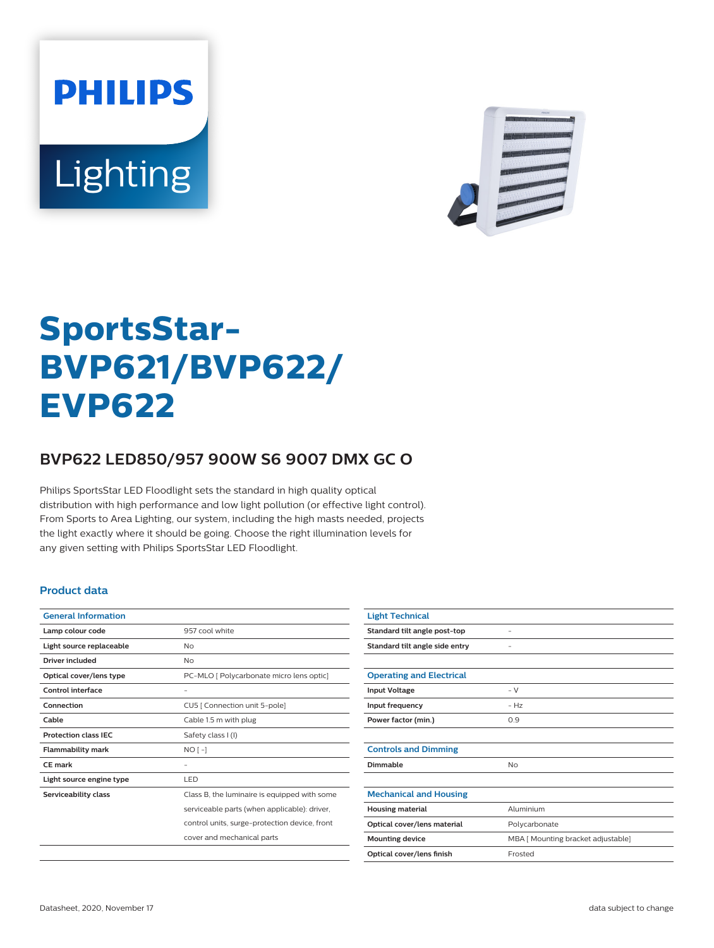**PHILIPS** Lighting



# **SportsStar-BVP621/BVP622/ EVP622**

## **BVP622 LED850/957 900W S6 9007 DMX GC O**

Philips SportsStar LED Floodlight sets the standard in high quality optical distribution with high performance and low light pollution (or effective light control). From Sports to Area Lighting, our system, including the high masts needed, projects the light exactly where it should be going. Choose the right illumination levels for any given setting with Philips SportsStar LED Floodlight.

### **Product data**

| <b>General Information</b>  |                                               |
|-----------------------------|-----------------------------------------------|
| Lamp colour code            | 957 cool white                                |
| Light source replaceable    | No                                            |
| Driver included             | No                                            |
| Optical cover/lens type     | PC-MLO [ Polycarbonate micro lens optic]      |
| Control interface           | -                                             |
| Connection                  | CU5 [ Connection unit 5-pole]                 |
| Cable                       | Cable 1.5 m with plug                         |
| <b>Protection class IEC</b> | Safety class I (I)                            |
| <b>Flammability mark</b>    | $NO[-]$                                       |
| <b>CE</b> mark              |                                               |
| Light source engine type    | LED                                           |
| Serviceability class        | Class B, the luminaire is equipped with some  |
|                             | serviceable parts (when applicable): driver,  |
|                             | control units, surge-protection device, front |
|                             | cover and mechanical parts                    |
|                             |                                               |

| <b>Light Technical</b>          |                                    |
|---------------------------------|------------------------------------|
| Standard tilt angle post-top    |                                    |
| Standard tilt angle side entry  |                                    |
|                                 |                                    |
| <b>Operating and Electrical</b> |                                    |
| <b>Input Voltage</b>            | $- V$                              |
| Input frequency                 | $-Hz$                              |
| Power factor (min.)             | 0.9                                |
|                                 |                                    |
| <b>Controls and Dimming</b>     |                                    |
| Dimmable                        | <b>No</b>                          |
|                                 |                                    |
| <b>Mechanical and Housing</b>   |                                    |
| <b>Housing material</b>         | Aluminium                          |
| Optical cover/lens material     | Polycarbonate                      |
| <b>Mounting device</b>          | MBA [ Mounting bracket adjustable] |
| Optical cover/lens finish       | Frosted                            |
|                                 |                                    |